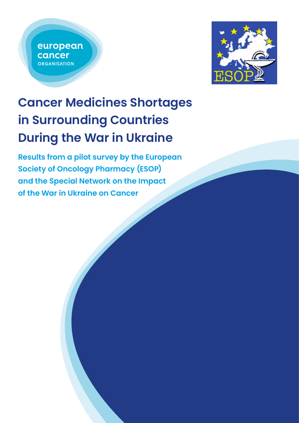european cancer ORGANISATION



# **Cancer Medicines Shortages in Surrounding Countries During the War in Ukraine**

**Results from a pilot survey by the European Society of Oncology Pharmacy (ESOP) and the Special Network on the Impact of the War in Ukraine on Cancer**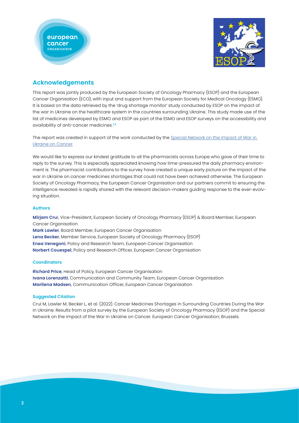



# **Acknowledgements**

This report was jointly produced by the European Society of Oncology Pharmacy (ESOP) and the European Cancer Organisation (ECO), with input and support from the European Society for Medical Oncology (ESMO). It is based on the data retrieved by the 'drug shortage monitor' study conducted by ESOP on the impact of the war in Ukraine on the healthcare system in the countries surrounding Ukraine. This study made use of the list of medicines developed by ESMO and ESOP as part of the ESMO and ESOP surveys on the accessibility and availability of anti-cancer medicines.**1,2**

The report was created in support of the work conducted by the Special Network on the Impact of War in [Ukraine on Cancer](https://www.europeancancer.org/topic-networks/20:impact-war-in-ukraine-on-cancer.html).

We would like to express our kindest gratitude to all the pharmacists across Europe who gave of their time to reply to the survey. This is especially appreciated knowing how time-pressured the daily pharmacy environment is. The pharmacist contributions to the survey have created a unique early picture on the impact of the war in Ukraine on cancer medicines shortages that could not have been achieved otherwise. The European Society of Oncology Pharmacy, the European Cancer Organisation and our partners commit to ensuring the intelligence revealed is rapidly shared with the relevant decision-makers guiding response to the ever-evolving situation.

#### **Authors**

**Mirjam Cru**l, Vice-President, European Society of Oncology Pharmacy (ESOP) & Board Member, European Cancer Organisation **Mark Lawler**, Board Member, European Cancer Organisation

**Lena Becker**, Member Service, European Society of Oncology Pharmacy (ESOP) **Enea Venegoni**, Policy and Research Team, European Cancer Organisation **Norbert Couespel**, Policy and Research Officer, European Cancer Organisation

#### **Coordinators**

**Richard Price**, Head of Policy, European Cancer Organisation **Ivana Lorenzatti**, Communication and Community Team, European Cancer Organisation **Marilena Madsen**, Communication Officer, European Cancer Organisation

#### **Suggested Citation**

Crul M, Lawler M, Becker L, et al. (2022). Cancer Medicines Shortages in Surrounding Countries During the War in Ukraine. Results from a pilot survey by the European Society of Oncology Pharmacy (ESOP) and the Special Network on the Impact of the War in Ukraine on Cancer. European Cancer Organisation; Brussels.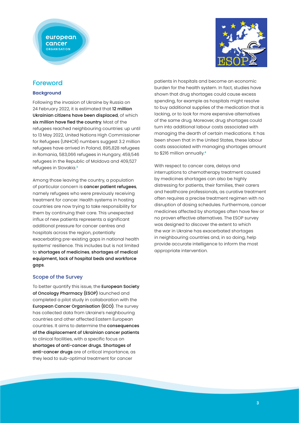# european cancer ORGANISATION



# Foreword

## **Background**

Following the invasion of Ukraine by Russia on 24 February 2022, it is estimated that 12 million Ukrainian citizens have been displaced, of which six million have fled the country. Most of the refugees reached neighbouring countries: up until to 13 May 2022, United Nations High Commissioner for Refugees (UNHCR) numbers suggest 3.2 million refugees have arrived in Poland, 895,828 refugees in Romania, 583,066 refugees in Hungary, 459,546 refugees in the Republic of Moldova and 409,527 refugees in Slovakia.**<sup>3</sup>**

Among those leaving the country, a population of particular concern is cancer patient refugees, namely refugees who were previously receiving treatment for cancer. Health systems in hosting countries are now trying to take responsibility for them by continuing their care. This unexpected influx of new patients represents a significant additional pressure for cancer centres and hospitals across the region, potentially exacerbating pre-existing gaps in national health systems' resilience. This includes but is not limited to shortages of medicines, shortages of medical equipment, lack of hospital beds and workforce gaps.

#### Scope of the Survey

To better quantify this issue, the European Society of Oncology Pharmacy (ESOP) launched and completed a pilot study in collaboration with the European Cancer Organisation (ECO). The survey has collected data from Ukraine's neighbouring countries and other affected Eastern European countries. It aims to determine the consequences of the displacement of Ukrainian cancer patients to clinical facilities, with a specific focus on shortages of anti-cancer drugs. Shortages of anti-cancer drugs are of critical importance, as they lead to sub-optimal treatment for cancer

patients in hospitals and become an economic burden for the health system. In fact, studies have shown that drug shortages could cause excess spending, for example as hospitals might resolve to buy additional supplies of the medication that is lacking, or to look for more expensive alternatives of the same drug. Moreover, drug shortages could turn into additional labour costs associated with managing the dearth of certain medications. It has been shown that in the United States, these labour costs associated with managing shortages amount to \$216 million annually.**<sup>4</sup>**

With respect to cancer care, delays and interruptions to chemotherapy treatment caused by medicines shortages can also be highly distressing for patients, their families, their carers and healthcare professionals, as curative treatment often requires a precise treatment regimen with no disruption of dosing schedules. Furthermore, cancer medicines affected by shortages often have few or no proven effective alternatives. The ESOP survey was designed to discover the extent to which the war in Ukraine has exacerbated shortages in neighbouring countries and, in so doing, help provide accurate intelligence to inform the most appropriate intervention.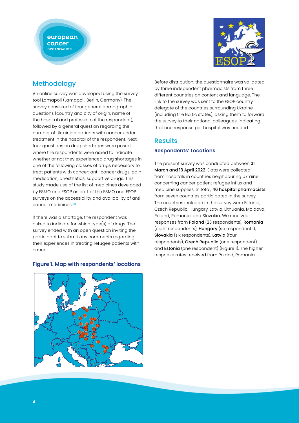

ORGANISATION



# Methodology

An online survey was developed using the survey tool Lamapoll (Lamapoll, Berlin, Germany). The survey consisted of four general demographic questions (country and city of origin, name of the hospital and profession of the respondent), followed by a general question regarding the number of Ukrainian patients with cancer under treatment in the hospital of the respondent. Next, four questions on drug shortages were posed, where the respondents were asked to indicate whether or not they experienced drug shortages in one of the following classes of drugs necessary to treat patients with cancer: anti-cancer drugs, pain medication, anesthetics, supportive drugs. This study made use of the list of medicines developed by ESMO and ESOP as part of the ESMO and ESOP surveys on the accessibility and availability of anticancer medicines.**1,2**

If there was a shortage, the respondent was asked to indicate for which type(s) of drugs. The survey ended with an open question inviting the participant to submit any comments regarding their experiences in treating refugee patients with cancer.

Before distribution, the questionnaire was validated by three independent pharmacists from three different countries on content and language. The link to the survey was sent to the ESOP country delegate of the countries surrounding Ukraine (including the Baltic states), asking them to forward the survey to their national colleagues, indicating that one response per hospital was needed.

# **Results**

## **Respondents' Locations**

The present survey was conducted between 31 March and 13 April 2022. Data were collected from hospitals in countries neighbouring Ukraine concerning cancer patient refugee influx and medicine supplies. In total, 46 hospital pharmacists from seven countries participated in the survey. The countries included in the survey were Estonia, Czech Republic, Hungary, Latvia, Lithuania, Moldova, Poland, Romania, and Slovakia. We received responses from Poland (23 respondents), Romania (eight respondents), Hungary (six respondents), Slovakia (six respondents), Latvia (four respondents), Czech Republic (one respondent) and Estonia (one respondent) (Figure 1). The higher response rates received from Poland, Romania,



## **Figure 1. Map with respondents' locations**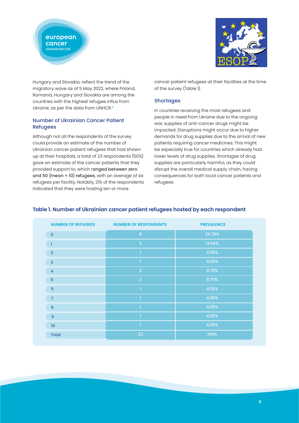

ORGANISATION



Hungary and Slovakia, reflect the trend of the migratory wave as of 5 May 2022, where Poland, Romania, Hungary and Slovakia are among the countries with the highest refugee influx from Ukraine, as per the data from UNHCR.**<sup>3</sup>**

## Number of Ukrainian Cancer Patient Refugees

Although not all the respondents of the survey could provide an estimate of the number of Ukrainian cancer patient refugees that had shown up at their hospitals, a total of 23 respondents (50%) gave an estimate of the cancer patients that they provided support to, which ranged between zero and 50 (mean = 10) refugees, with an average of six refugees per facility. Notably, 21% of the respondents indicated that they were hosting ten or more

cancer patient refugees at their facilities at the time of the survey (Table 1).

#### **Shortages**

In countries receiving the most refugees and people in need from Ukraine due to the ongoing war, supplies of anti-cancer drugs might be impacted. Disruptions might occur due to higher demands for drug supplies due to the arrival of new patients requiring cancer medicines. This might be especially true for countries which already had lower levels of drug supplies. Shortages of drug supplies are particularly harmful, as they could disrupt the overall medical supply chain, having consequences for both local cancer patients and refugees.

| <b>NUMBER OF REFUGEES</b> | <b>NUMBER OF RESPONDENTS</b> | <b>PREVALENCE</b> |
|---------------------------|------------------------------|-------------------|
| $\overline{0}$            | 8                            | 34.78%            |
| 1                         | 3                            | 13.04%            |
| $\overline{2}$            | п                            | 4.35%             |
| $\mathbf{3}$              | п                            | 4.35%             |
| $\overline{4}$            | $\overline{2}$               | 8.70%             |
| 5                         | $\overline{2}$               | 8.70%             |
| $6\phantom{1}6$           | п                            | 4.35%             |
| $\overline{7}$            | п                            | 4.35%             |
| 8                         | ı                            | 4.35%             |
| $\overline{9}$            | п                            | 4.35%             |
| 10                        |                              | 4.35%             |
| <b>Total</b>              | 23                           | 100%              |

## **Table 1. Number of Ukrainian cancer patient refugees hosted by each respondent**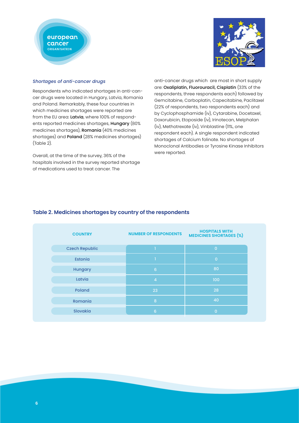



#### *Shortages of anti-cancer drugs*

Respondents who indicated shortages in anti-cancer drugs were located in Hungary, Latvia, Romania and Poland. Remarkably, these four countries in which medicines shortages were reported are from the EU area: Latvia, where 100% of respondents reported medicines shortages, Hungary (80% medicines shortages), Romania (40% medicines shortages) and Poland (28% medicines shortages) (Table 2).

Overall, at the time of the survey, 36% of the hospitals involved in the survey reported shortage of medications used to treat cancer. The

anti-cancer drugs which are most in short supply are: Oxaliplatin, Fluorouracil, Cisplatin (33% of the respondents, three respondents each) followed by Gemcitabine, Carboplatin, Capecitabine, Paclitaxel (22% of respondents, two respondents each) and by Cyclophosphamide (iv), Cytarabine, Docetaxel, Doxorubicin, Etoposide (iv), Irinotecan, Melphalan (iv), Methotrexate (iv), Vinblastine (11%, one respondent each). A single respondent indicated shortages of Calcium folinate. No shortages of Monoclonal Antibodies or Tyrosine Kinase Inhibitors were reported.

| <b>COUNTRY</b>        | <b>NUMBER OF RESPONDENTS</b> | <b>HOSPITALS WITH</b><br><b>MEDICINES SHORTAGES (%)</b> |
|-----------------------|------------------------------|---------------------------------------------------------|
| <b>Czech Republic</b> |                              | $\overline{O}$                                          |
| Estonia               |                              | $\overline{O}$                                          |
| Hungary               | 6                            | 80                                                      |
| Latvia                | $\overline{4}$               | 100                                                     |
| Poland                | 23                           | 28                                                      |
| Romania               | 8                            | 40                                                      |
| Slovakia              | 6                            | $\Omega$                                                |

## **Table 2. Medicines shortages by country of the respondents**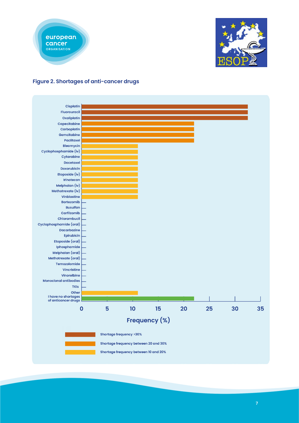



# **Figure 2. Shortages of anti-cancer drugs**

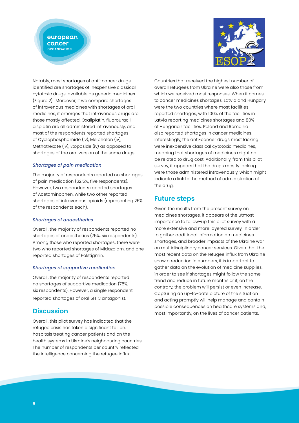

ORGANISATION



Notably, most shortages of anti-cancer drugs identified are shortages of inexpensive classical cytotoxic drugs, available as generic medicines (Figure 2). Moreover, if we compare shortages of intravenous medicines with shortages of oral medicines, it emerges that intravenous drugs are those mostly affected. Oxaliplatin, fluorouracil, cisplatin are all administered intravenously, and most of the respondents reported shortages of Cyclophosphamide (iv), Melphalan (iv), Methotrexate (iv), Etoposide (iv) as opposed to shortages of the oral version of the same drugs.

#### *Shortages of pain medication*

The majority of respondents reported no shortages of pain medication (62.5%, five respondents). However, two respondents reported shortages of Acetaminophen, while two other reported shortages of intravenous opioids (representing 25% of the respondents each).

#### *Shortages of anaesthetics*

Overall, the majority of respondents reported no shortages of anaesthetics (75%, six respondents). Among those who reported shortages, there were two who reported shortages of Midazolam, and one reported shortages of Polstigmin.

#### *Shortages of supportive medication*

Overall, the majority of respondents reported no shortages of supportive medication (75%, six respondents). However, a single respondent reported shortages of oral 5HT3 antagonist.

# **Discussion**

Overall, this pilot survey has indicated that the refugee crisis has taken a significant toll on. hospitals treating cancer patients and on the health systems in Ukraine's neighbouring countries. The number of respondents per country reflected the intelligence concerning the refugee influx.

Countries that received the highest number of overall refugees from Ukraine were also those from which we received most responses. When it comes to cancer medicines shortages, Latvia and Hungary were the two countries where most facilities reported shortages, with 100% of the facilities in Latvia reporting medicines shortages and 80% of Hungarian facilities. Poland and Romania also reported shortages in cancer medicines. Interestingly, the anti-cancer drugs most lacking were inexpensive classical cytotoxic medicines, meaning that shortages of medicines might not be related to drug cost. Additionally, from this pilot survey, it appears that the drugs mostly lacking were those administered intravenously, which might indicate a link to the method of administration of the drug.

# **Future steps**

Given the results from the present survey on medicines shortages, it appears of the utmost importance to follow-up this pilot survey with a more extensive and more layered survey, in order to gather additional information on medicines shortages, and broader impacts of the Ukraine war on multidisciplinary cancer services. Given that the most recent data on the refugee influx from Ukraine show a reduction in numbers, it is important to gather data on the evolution of medicine supplies, in order to see if shortages might follow the same trend and reduce in future months or if, on the contrary, the problem will persist or even increase. Capturing an up-to-date picture of the situation and acting promptly will help manage and contain possible consequences on healthcare systems and, most importantly, on the lives of cancer patients.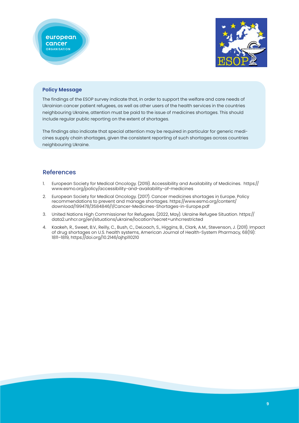

## **Policy Message**

The findings of the ESOP survey indicate that, in order to support the welfare and care needs of Ukrainian cancer patient refugees, as well as other users of the health services in the countries neighbouring Ukraine, attention must be paid to the issue of medicines shortages. This should include regular public reporting on the extent of shortages.

The findings also indicate that special attention may be required in particular for generic medicines supply chain shortages, given the consistent reporting of such shortages across countries neighbouring Ukraine.

# References

- 1. European Society for Medical Oncology. (2019). Accessibility and Availability of Medicines. https:// www.esmo.org/policy/accessibility-and-availability-of-medicines
- 2. European Society for Medical Oncology. (2017). Cancer medicines shortages in Europe. Policy recommendations to prevent and manage shortages. https://www.esmo.org/content/ download/199478/3584846/1/Cancer-Medicines-Shortages-in-Europe.pdf
- 3. United Nations High Commissioner for Refugees. (2022, May). Ukraine Refugee Situation. https:// data2.unhcr.org/en/situations/ukraine/location?secret=unhcrrestricted
- 4. Kaakeh, R., Sweet, B.V., Reilly, C., Bush, C., DeLoach, S., Higgins, B., Clark, A.M., Stevenson, J. (2011). Impact of drug shortages on U.S. health systems, American Journal of Health-System Pharmacy, 68(19): 1811–1819, https://doi.org/10.2146/ajhp110210